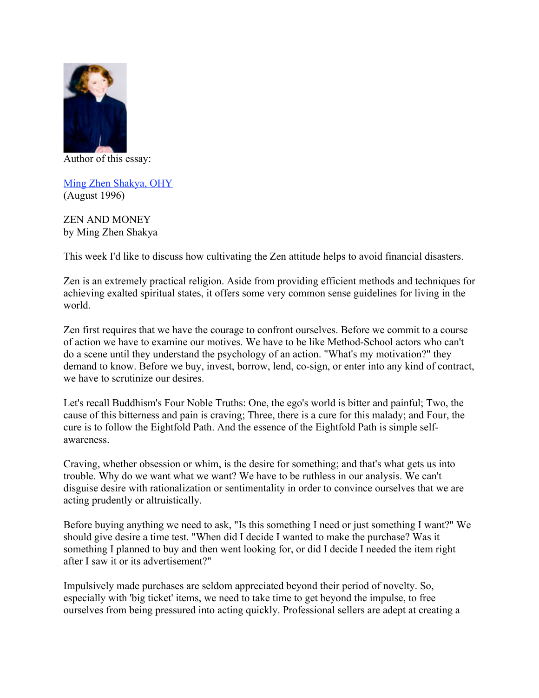

Author of this essay:

Ming Zhen Shakya, OHY (August 1996)

ZEN AND MONEY by Ming Zhen Shakya

This week I'd like to discuss how cultivating the Zen attitude helps to avoid financial disasters.

Zen is an extremely practical religion. Aside from providing efficient methods and techniques for achieving exalted spiritual states, it offers some very common sense guidelines for living in the world.

Zen first requires that we have the courage to confront ourselves. Before we commit to a course of action we have to examine our motives. We have to be like Method-School actors who can't do a scene until they understand the psychology of an action. "What's my motivation?" they demand to know. Before we buy, invest, borrow, lend, co-sign, or enter into any kind of contract, we have to scrutinize our desires.

Let's recall Buddhism's Four Noble Truths: One, the ego's world is bitter and painful; Two, the cause of this bitterness and pain is craving; Three, there is a cure for this malady; and Four, the cure is to follow the Eightfold Path. And the essence of the Eightfold Path is simple selfawareness.

Craving, whether obsession or whim, is the desire for something; and that's what gets us into trouble. Why do we want what we want? We have to be ruthless in our analysis. We can't disguise desire with rationalization or sentimentality in order to convince ourselves that we are acting prudently or altruistically.

Before buying anything we need to ask, "Is this something I need or just something I want?" We should give desire a time test. "When did I decide I wanted to make the purchase? Was it something I planned to buy and then went looking for, or did I decide I needed the item right after I saw it or its advertisement?"

Impulsively made purchases are seldom appreciated beyond their period of novelty. So, especially with 'big ticket' items, we need to take time to get beyond the impulse, to free ourselves from being pressured into acting quickly. Professional sellers are adept at creating a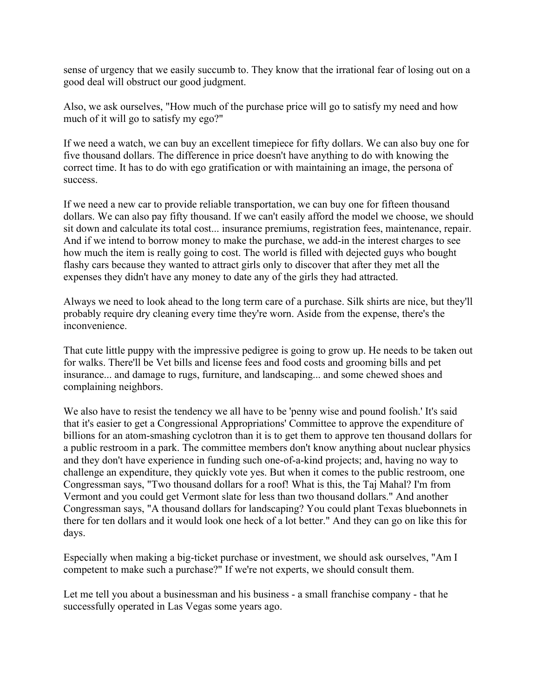sense of urgency that we easily succumb to. They know that the irrational fear of losing out on a good deal will obstruct our good judgment.

Also, we ask ourselves, "How much of the purchase price will go to satisfy my need and how much of it will go to satisfy my ego?"

If we need a watch, we can buy an excellent timepiece for fifty dollars. We can also buy one for five thousand dollars. The difference in price doesn't have anything to do with knowing the correct time. It has to do with ego gratification or with maintaining an image, the persona of success.

If we need a new car to provide reliable transportation, we can buy one for fifteen thousand dollars. We can also pay fifty thousand. If we can't easily afford the model we choose, we should sit down and calculate its total cost... insurance premiums, registration fees, maintenance, repair. And if we intend to borrow money to make the purchase, we add-in the interest charges to see how much the item is really going to cost. The world is filled with dejected guys who bought flashy cars because they wanted to attract girls only to discover that after they met all the expenses they didn't have any money to date any of the girls they had attracted.

Always we need to look ahead to the long term care of a purchase. Silk shirts are nice, but they'll probably require dry cleaning every time they're worn. Aside from the expense, there's the inconvenience.

That cute little puppy with the impressive pedigree is going to grow up. He needs to be taken out for walks. There'll be Vet bills and license fees and food costs and grooming bills and pet insurance... and damage to rugs, furniture, and landscaping... and some chewed shoes and complaining neighbors.

We also have to resist the tendency we all have to be 'penny wise and pound foolish.' It's said that it's easier to get a Congressional Appropriations' Committee to approve the expenditure of billions for an atom-smashing cyclotron than it is to get them to approve ten thousand dollars for a public restroom in a park. The committee members don't know anything about nuclear physics and they don't have experience in funding such one-of-a-kind projects; and, having no way to challenge an expenditure, they quickly vote yes. But when it comes to the public restroom, one Congressman says, "Two thousand dollars for a roof! What is this, the Taj Mahal? I'm from Vermont and you could get Vermont slate for less than two thousand dollars." And another Congressman says, "A thousand dollars for landscaping? You could plant Texas bluebonnets in there for ten dollars and it would look one heck of a lot better." And they can go on like this for days.

Especially when making a big-ticket purchase or investment, we should ask ourselves, "Am I competent to make such a purchase?" If we're not experts, we should consult them.

Let me tell you about a businessman and his business - a small franchise company - that he successfully operated in Las Vegas some years ago.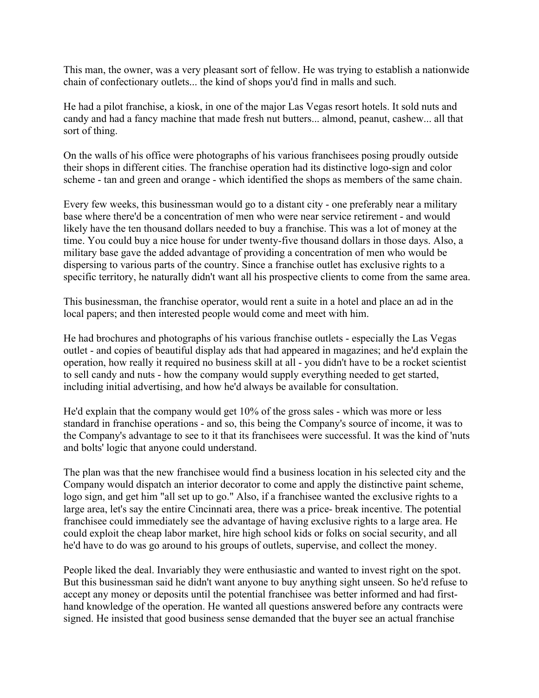This man, the owner, was a very pleasant sort of fellow. He was trying to establish a nationwide chain of confectionary outlets... the kind of shops you'd find in malls and such.

He had a pilot franchise, a kiosk, in one of the major Las Vegas resort hotels. It sold nuts and candy and had a fancy machine that made fresh nut butters... almond, peanut, cashew... all that sort of thing.

On the walls of his office were photographs of his various franchisees posing proudly outside their shops in different cities. The franchise operation had its distinctive logo-sign and color scheme - tan and green and orange - which identified the shops as members of the same chain.

Every few weeks, this businessman would go to a distant city - one preferably near a military base where there'd be a concentration of men who were near service retirement - and would likely have the ten thousand dollars needed to buy a franchise. This was a lot of money at the time. You could buy a nice house for under twenty-five thousand dollars in those days. Also, a military base gave the added advantage of providing a concentration of men who would be dispersing to various parts of the country. Since a franchise outlet has exclusive rights to a specific territory, he naturally didn't want all his prospective clients to come from the same area.

This businessman, the franchise operator, would rent a suite in a hotel and place an ad in the local papers; and then interested people would come and meet with him.

He had brochures and photographs of his various franchise outlets - especially the Las Vegas outlet - and copies of beautiful display ads that had appeared in magazines; and he'd explain the operation, how really it required no business skill at all - you didn't have to be a rocket scientist to sell candy and nuts - how the company would supply everything needed to get started, including initial advertising, and how he'd always be available for consultation.

He'd explain that the company would get 10% of the gross sales - which was more or less standard in franchise operations - and so, this being the Company's source of income, it was to the Company's advantage to see to it that its franchisees were successful. It was the kind of 'nuts and bolts' logic that anyone could understand.

The plan was that the new franchisee would find a business location in his selected city and the Company would dispatch an interior decorator to come and apply the distinctive paint scheme, logo sign, and get him "all set up to go." Also, if a franchisee wanted the exclusive rights to a large area, let's say the entire Cincinnati area, there was a price- break incentive. The potential franchisee could immediately see the advantage of having exclusive rights to a large area. He could exploit the cheap labor market, hire high school kids or folks on social security, and all he'd have to do was go around to his groups of outlets, supervise, and collect the money.

People liked the deal. Invariably they were enthusiastic and wanted to invest right on the spot. But this businessman said he didn't want anyone to buy anything sight unseen. So he'd refuse to accept any money or deposits until the potential franchisee was better informed and had firsthand knowledge of the operation. He wanted all questions answered before any contracts were signed. He insisted that good business sense demanded that the buyer see an actual franchise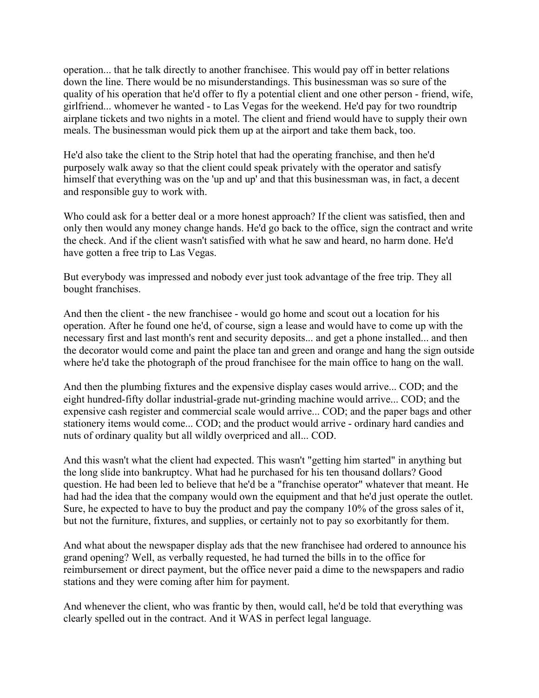operation... that he talk directly to another franchisee. This would pay off in better relations down the line. There would be no misunderstandings. This businessman was so sure of the quality of his operation that he'd offer to fly a potential client and one other person - friend, wife, girlfriend... whomever he wanted - to Las Vegas for the weekend. He'd pay for two roundtrip airplane tickets and two nights in a motel. The client and friend would have to supply their own meals. The businessman would pick them up at the airport and take them back, too.

He'd also take the client to the Strip hotel that had the operating franchise, and then he'd purposely walk away so that the client could speak privately with the operator and satisfy himself that everything was on the 'up and up' and that this businessman was, in fact, a decent and responsible guy to work with.

Who could ask for a better deal or a more honest approach? If the client was satisfied, then and only then would any money change hands. He'd go back to the office, sign the contract and write the check. And if the client wasn't satisfied with what he saw and heard, no harm done. He'd have gotten a free trip to Las Vegas.

But everybody was impressed and nobody ever just took advantage of the free trip. They all bought franchises.

And then the client - the new franchisee - would go home and scout out a location for his operation. After he found one he'd, of course, sign a lease and would have to come up with the necessary first and last month's rent and security deposits... and get a phone installed... and then the decorator would come and paint the place tan and green and orange and hang the sign outside where he'd take the photograph of the proud franchisee for the main office to hang on the wall.

And then the plumbing fixtures and the expensive display cases would arrive... COD; and the eight hundred-fifty dollar industrial-grade nut-grinding machine would arrive... COD; and the expensive cash register and commercial scale would arrive... COD; and the paper bags and other stationery items would come... COD; and the product would arrive - ordinary hard candies and nuts of ordinary quality but all wildly overpriced and all... COD.

And this wasn't what the client had expected. This wasn't "getting him started" in anything but the long slide into bankruptcy. What had he purchased for his ten thousand dollars? Good question. He had been led to believe that he'd be a "franchise operator" whatever that meant. He had had the idea that the company would own the equipment and that he'd just operate the outlet. Sure, he expected to have to buy the product and pay the company 10% of the gross sales of it, but not the furniture, fixtures, and supplies, or certainly not to pay so exorbitantly for them.

And what about the newspaper display ads that the new franchisee had ordered to announce his grand opening? Well, as verbally requested, he had turned the bills in to the office for reimbursement or direct payment, but the office never paid a dime to the newspapers and radio stations and they were coming after him for payment.

And whenever the client, who was frantic by then, would call, he'd be told that everything was clearly spelled out in the contract. And it WAS in perfect legal language.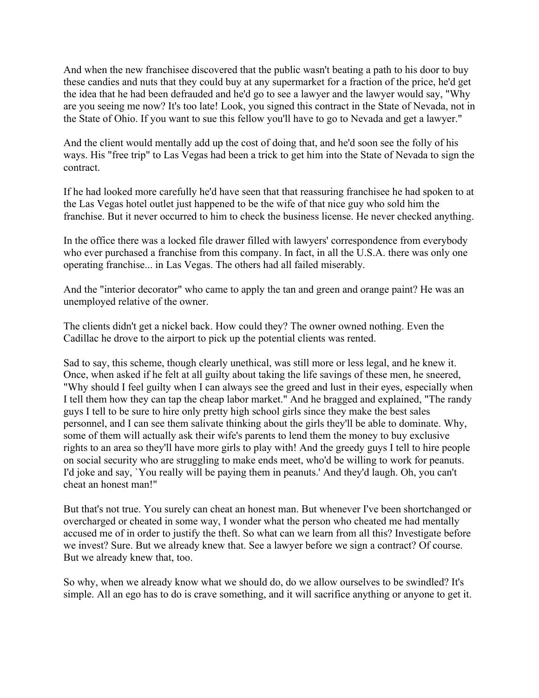And when the new franchisee discovered that the public wasn't beating a path to his door to buy these candies and nuts that they could buy at any supermarket for a fraction of the price, he'd get the idea that he had been defrauded and he'd go to see a lawyer and the lawyer would say, "Why are you seeing me now? It's too late! Look, you signed this contract in the State of Nevada, not in the State of Ohio. If you want to sue this fellow you'll have to go to Nevada and get a lawyer."

And the client would mentally add up the cost of doing that, and he'd soon see the folly of his ways. His "free trip" to Las Vegas had been a trick to get him into the State of Nevada to sign the contract.

If he had looked more carefully he'd have seen that that reassuring franchisee he had spoken to at the Las Vegas hotel outlet just happened to be the wife of that nice guy who sold him the franchise. But it never occurred to him to check the business license. He never checked anything.

In the office there was a locked file drawer filled with lawyers' correspondence from everybody who ever purchased a franchise from this company. In fact, in all the U.S.A. there was only one operating franchise... in Las Vegas. The others had all failed miserably.

And the "interior decorator" who came to apply the tan and green and orange paint? He was an unemployed relative of the owner.

The clients didn't get a nickel back. How could they? The owner owned nothing. Even the Cadillac he drove to the airport to pick up the potential clients was rented.

Sad to say, this scheme, though clearly unethical, was still more or less legal, and he knew it. Once, when asked if he felt at all guilty about taking the life savings of these men, he sneered, "Why should I feel guilty when I can always see the greed and lust in their eyes, especially when I tell them how they can tap the cheap labor market." And he bragged and explained, "The randy guys I tell to be sure to hire only pretty high school girls since they make the best sales personnel, and I can see them salivate thinking about the girls they'll be able to dominate. Why, some of them will actually ask their wife's parents to lend them the money to buy exclusive rights to an area so they'll have more girls to play with! And the greedy guys I tell to hire people on social security who are struggling to make ends meet, who'd be willing to work for peanuts. I'd joke and say, `You really will be paying them in peanuts.' And they'd laugh. Oh, you can't cheat an honest man!"

But that's not true. You surely can cheat an honest man. But whenever I've been shortchanged or overcharged or cheated in some way, I wonder what the person who cheated me had mentally accused me of in order to justify the theft. So what can we learn from all this? Investigate before we invest? Sure. But we already knew that. See a lawyer before we sign a contract? Of course. But we already knew that, too.

So why, when we already know what we should do, do we allow ourselves to be swindled? It's simple. All an ego has to do is crave something, and it will sacrifice anything or anyone to get it.